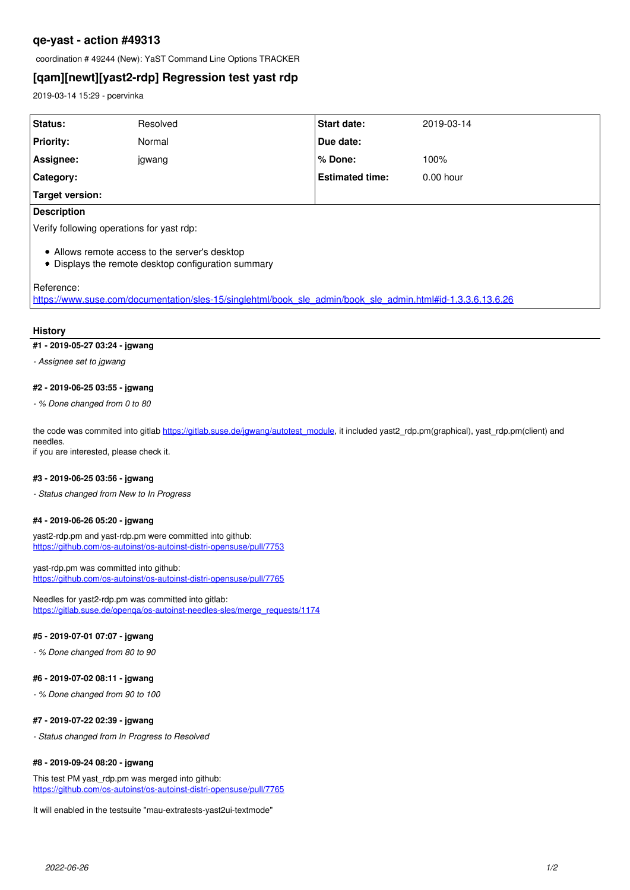# **qe-yast - action #49313**

coordination # 49244 (New): YaST Command Line Options TRACKER

# **[qam][newt][yast2-rdp] Regression test yast rdp**

2019-03-14 15:29 - pcervinka

| Status:                                                                                                                   | Resolved | Start date:            | 2019-03-14  |
|---------------------------------------------------------------------------------------------------------------------------|----------|------------------------|-------------|
| Priority:                                                                                                                 | Normal   | Due date:              |             |
| Assignee:                                                                                                                 | jgwang   | % Done:                | 100%        |
| <b>Category:</b>                                                                                                          |          | <b>Estimated time:</b> | $0.00$ hour |
| <b>Target version:</b>                                                                                                    |          |                        |             |
| <b>Description</b>                                                                                                        |          |                        |             |
| Verify following operations for yast rdp:                                                                                 |          |                        |             |
| • Allows remote access to the server's desktop<br>Displays the remote desktop configuration summary<br>$\bullet$          |          |                        |             |
| Reference:<br>https://www.suse.com/documentation/sles-15/singlehtml/book sle admin/book sle admin.html#id-1.3.3.6.13.6.26 |          |                        |             |

#### **History**

### **#1 - 2019-05-27 03:24 - jgwang**

*- Assignee set to jgwang*

## **#2 - 2019-06-25 03:55 - jgwang**

*- % Done changed from 0 to 80*

the code was commited into gitlab https://gitlab.suse.de/igwang/autotest\_module, it included yast2\_rdp.pm(graphical), yast\_rdp.pm(client) and needles.

if you are interested, please check it.

### **#3 - 2019-06-25 03:56 - jgwang**

*- Status changed from New to In Progress*

#### **#4 - 2019-06-26 05:20 - jgwang**

yast2-rdp.pm and yast-rdp.pm were committed into github: <https://github.com/os-autoinst/os-autoinst-distri-opensuse/pull/7753>

yast-rdp.pm was committed into github: <https://github.com/os-autoinst/os-autoinst-distri-opensuse/pull/7765>

Needles for yast2-rdp.pm was committed into gitlab: [https://gitlab.suse.de/openqa/os-autoinst-needles-sles/merge\\_requests/1174](https://gitlab.suse.de/openqa/os-autoinst-needles-sles/merge_requests/1174)

#### **#5 - 2019-07-01 07:07 - jgwang**

*- % Done changed from 80 to 90*

### **#6 - 2019-07-02 08:11 - jgwang**

*- % Done changed from 90 to 100*

#### **#7 - 2019-07-22 02:39 - jgwang**

*- Status changed from In Progress to Resolved*

## **#8 - 2019-09-24 08:20 - jgwang**

This test PM yast\_rdp.pm was merged into github: <https://github.com/os-autoinst/os-autoinst-distri-opensuse/pull/7765>

It will enabled in the testsuite "mau-extratests-yast2ui-textmode"